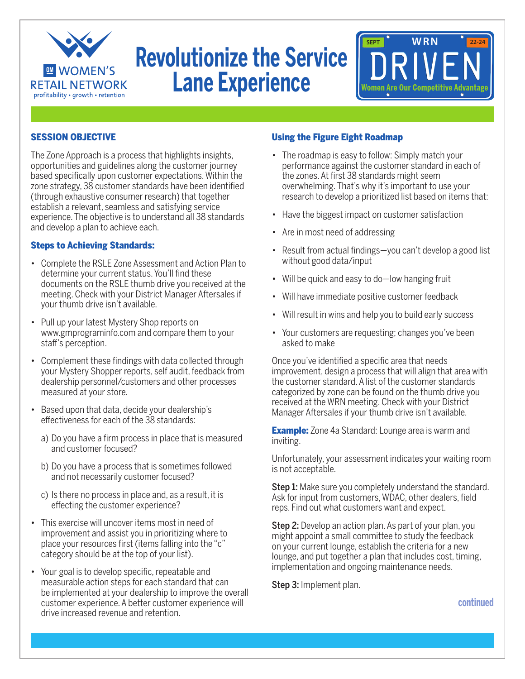

# **Revolutionize the Service Lane Experience**



#### SESSION OBJECTIVE

The Zone Approach is a process that highlights insights, opportunities and guidelines along the customer journey based specifically upon customer expectations. Within the zone strategy, 38 customer standards have been identified (through exhaustive consumer research) that together establish a relevant, seamless and satisfying service experience. The objective is to understand all 38 standards and develop a plan to achieve each.

#### Steps to Achieving Standards:

- Complete the RSLE Zone Assessment and Action Plan to determine your current status. You'll find these documents on the RSLE thumb drive you received at the meeting. Check with your District Manager Aftersales if your thumb drive isn't available.
- Pull up your latest Mystery Shop reports on www.gmprograminfo.com and compare them to your staf's perception.
- Complement these findings with data collected through your Mystery Shopper reports, self audit, feedback from dealership personnel/customers and other processes measured at your store.
- Based upon that data, decide your dealership's efectiveness for each of the 38 standards:
	- a) Do you have a firm process in place that is measured and customer focused?
	- b) Do you have a process that is sometimes followed and not necessarily customer focused?
	- c) Is there no process in place and, as a result, it is efecting the customer experience?
- This exercise will uncover items most in need of improvement and assist you in prioritizing where to place your resources first (items falling into the "c" category should be at the top of your list).
- Your goal is to develop specific, repeatable and measurable action steps for each standard that can be implemented at your dealership to improve the overall customer experience. A better customer experience will drive increased revenue and retention.

### Using the Figure Eight Roadmap

- The roadmap is easy to follow: Simply match your performance against the customer standard in each of the zones. At first 38 standards might seem overwhelming. That's why it's important to use your research to develop a prioritized list based on items that:
- Have the biggest impact on customer satisfaction
- Are in most need of addressing
- Result from actual findings—you can't develop a good list without good data/input
- Will be quick and easy to do—low hanging fruit
- Will have immediate positive customer feedback
- Will result in wins and help you to build early success
- Your customers are requesting; changes you've been asked to make

Once you've identified a specific area that needs improvement, design a process that will align that area with the customer standard. A list of the customer standards categorized by zone can be found on the thumb drive you received at the WRN meeting. Check with your District Manager Aftersales if your thumb drive isn't available.

**Example:** Zone 4a Standard: Lounge area is warm and inviting.

Unfortunately, your assessment indicates your waiting room is not acceptable.

Step 1: Make sure you completely understand the standard. Ask for input from customers, WDAC, other dealers, field reps. Find out what customers want and expect.

Step 2: Develop an action plan. As part of your plan, you might appoint a small committee to study the feedback on your current lounge, establish the criteria for a new lounge, and put together a plan that includes cost, timing, implementation and ongoing maintenance needs.

Step 3: Implement plan.

**continued**